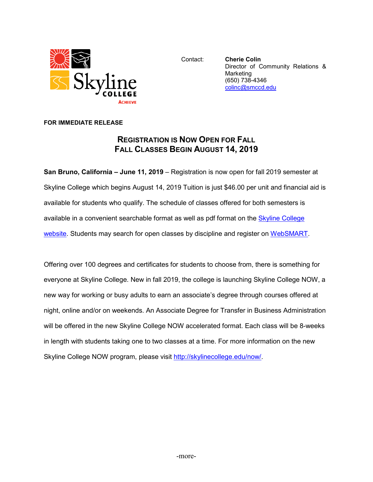

Contact: **Cherie Colin** Director of Community Relations & Marketing (650) 738-4346 [colinc@smccd.edu](mailto:colinc@smccd.edu)

## **FOR IMMEDIATE RELEASE**

## **REGISTRATION IS NOW OPEN FOR FALL FALL CLASSES BEGIN AUGUST 14, 2019**

**San Bruno, California – June 11, 2019** – Registration is now open for fall 2019 semester at Skyline College which begins August 14, 2019 Tuition is just \$46.00 per unit and financial aid is available for students who qualify. The schedule of classes offered for both semesters is available in a convenient searchable format as well as pdf format on the [Skyline College](http://www.skylinecollege.edu/catalogschedule/)  [website.](http://www.skylinecollege.edu/catalogschedule/) Students may search for open classes by discipline and register on [WebSMART.](https://websmart.smccd.edu/)

Offering over 100 degrees and certificates for students to choose from, there is something for everyone at Skyline College. New in fall 2019, the college is launching Skyline College NOW, a new way for working or busy adults to earn an associate's degree through courses offered at night, online and/or on weekends. An Associate Degree for Transfer in Business Administration will be offered in the new Skyline College NOW accelerated format. Each class will be 8-weeks in length with students taking one to two classes at a time. For more information on the new Skyline College NOW program, please visit [http://skylinecollege.edu/now/.](http://skylinecollege.edu/now/)